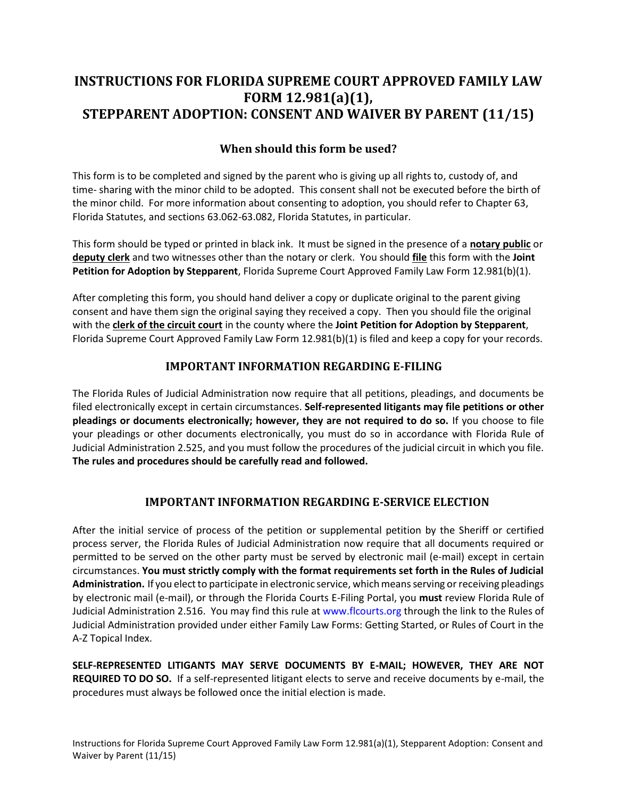# **FORM 12.981(a)(1), FORM 12.981(a)(1), STEPPARENT ADOPTION: CONSENT AND WAIVER BY PARENT (11/15) INSTRUCTIONS FOR FLORIDA SUPREME COURT APPROVED FAMILY LAW**

### **When should this form be used?**

 time- sharing with the minor child to be adopted. This consent shall not be executed before the birth of This form is to be completed and signed by the parent who is giving up all rights to, custody of, and the minor child. For more information about consenting to adoption, you should refer to Chapter 63, Florida Statutes, and sections 63.062-63.082, Florida Statutes, in particular.

 **deputy clerk** and two witnesses other than the notary or clerk. You should **file** this form with the **Joint Petition for Adoption by Stepparent**, Florida Supreme Court Approved Family Law Form 12.981(b)(1). This form should be typed or printed in black ink. It must be signed in the presence of a **notary public** or

 with the **clerk of the circuit court** in the county where the **Joint Petition for Adoption by Stepparent**, Florida Supreme Court Approved Family Law Form 12.981(b)(1) is filed and keep a copy for your records. After completing this form, you should hand deliver a copy or duplicate original to the parent giving consent and have them sign the original saying they received a copy. Then you should file the original

### **IMPORTANT INFORMATION REGARDING E-FILING**

 The Florida Rules of Judicial Administration now require that all petitions, pleadings, and documents be  **pleadings or documents electronically; however, they are not required to do so.** If you choose to file your pleadings or other documents electronically, you must do so in accordance with Florida Rule of Judicial Administration 2.525, and you must follow the procedures of the judicial circuit in which you file. filed electronically except in certain circumstances. **Self-represented litigants may file petitions or other The rules and procedures should be carefully read and followed.** 

### **IMPORTANT INFORMATION REGARDING E-SERVICE ELECTION**

 After the initial service of process of the petition or supplemental petition by the Sheriff or certified process server, the Florida Rules of Judicial Administration now require that all documents required or permitted to be served on the other party must be served by electronic mail (e-mail) except in certain  circumstances. **You must strictly comply with the format requirements set forth in the Rules of Judicial Administration.** If you elect to participate in electronic service, which means serving or receiving pleadings by electronic mail (e-mail), or through the Florida Courts E-Filing Portal, you **must** review Florida Rule of Judicial Administration 2.516. You may find this rule at www.flcourts.org through the link to the Rules of A-Z Topical Index. Judicial Administration provided under either Family Law Forms: Getting Started, or Rules of Court in the

 **SELF-REPRESENTED LITIGANTS MAY SERVE DOCUMENTS BY E-MAIL; HOWEVER, THEY ARE NOT REQUIRED TO DO SO.** If a self-represented litigant elects to serve and receive documents by e-mail, the procedures must always be followed once the initial election is made.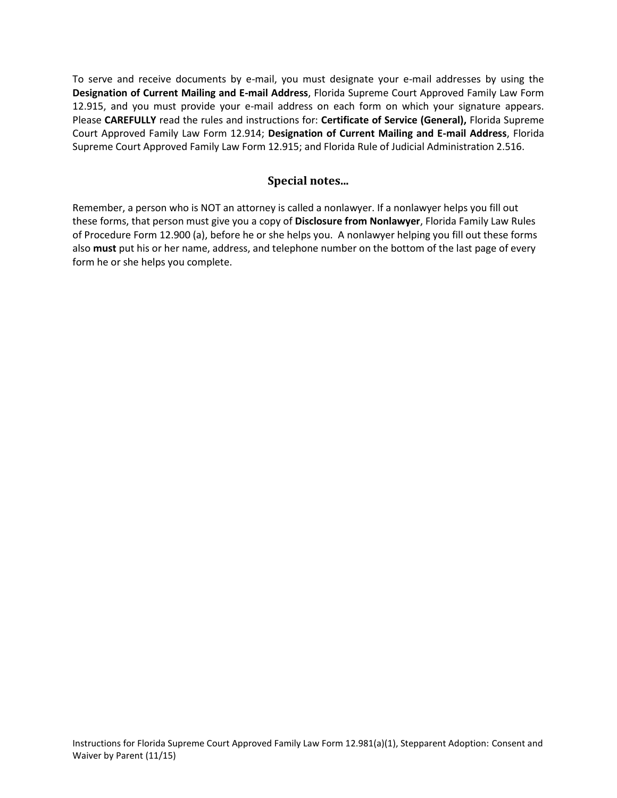To serve and receive documents by e-mail, you must designate your e-mail addresses by using the  **Designation of Current Mailing and E-mail Address**, Florida Supreme Court Approved Family Law Form 12.915, and you must provide your e-mail address on each form on which your signature appears. Please **CAREFULLY** read the rules and instructions for: **Certificate of Service (General),** Florida Supreme Court Approved Family Law Form 12.914; **Designation of Current Mailing and E-mail Address**, Florida Supreme Court Approved Family Law Form 12.915; and Florida Rule of Judicial Administration 2.516.

### **Special notes...**

 of Procedure Form 12.900 (a), before he or she helps you. A nonlawyer helping you fill out these forms also **must** put his or her name, address, and telephone number on the bottom of the last page of every Remember, a person who is NOT an attorney is called a nonlawyer. If a nonlawyer helps you fill out these forms, that person must give you a copy of **Disclosure from Nonlawyer**, Florida Family Law Rules form he or she helps you complete.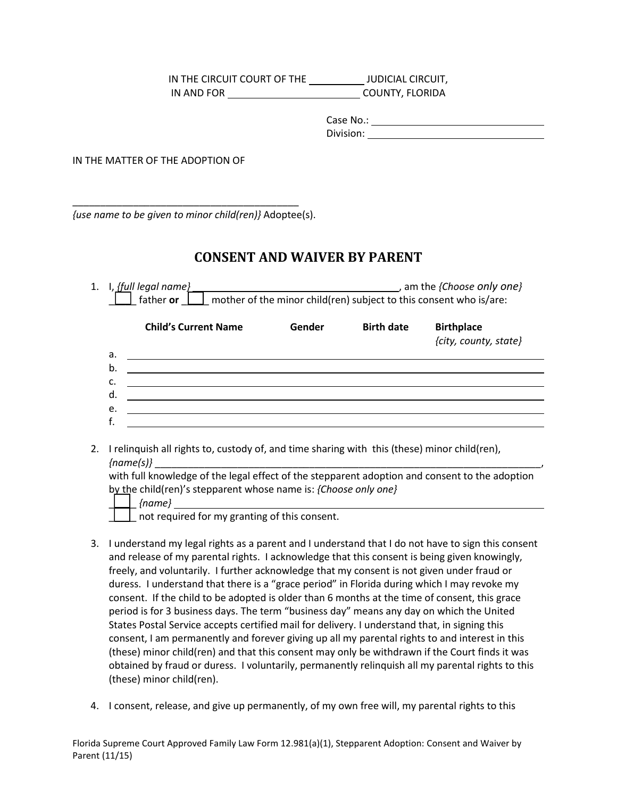IN THE CIRCUIT COURT OF THE \_\_\_\_\_\_\_\_\_\_\_\_\_ JUDICIAL CIRCUIT, IN AND FOR COUNTY, FLORIDA

IN THE MATTER OF THE ADOPTION OF

*{use name to be given to minor child(ren)}* Adoptee(s).

\_\_\_\_\_\_\_\_\_\_\_\_\_\_\_\_\_\_\_\_\_\_\_\_\_\_\_\_\_\_\_\_\_\_\_\_\_\_\_\_\_

## **CONSENT AND WAIVER BY PARENT**

|    | IN THE CIRCUIT COURT OF THE _____________ JUDICIAL CIRCUIT,                                                                                                                                                                         |                   |                       |
|----|-------------------------------------------------------------------------------------------------------------------------------------------------------------------------------------------------------------------------------------|-------------------|-----------------------|
|    |                                                                                                                                                                                                                                     |                   |                       |
|    |                                                                                                                                                                                                                                     |                   |                       |
|    |                                                                                                                                                                                                                                     |                   |                       |
|    | HE MATTER OF THE ADOPTION OF                                                                                                                                                                                                        |                   |                       |
|    |                                                                                                                                                                                                                                     |                   |                       |
|    |                                                                                                                                                                                                                                     |                   |                       |
|    | name to be given to minor child(ren)} Adoptee(s).                                                                                                                                                                                   |                   |                       |
|    |                                                                                                                                                                                                                                     |                   |                       |
|    | <b>CONSENT AND WAIVER BY PARENT</b>                                                                                                                                                                                                 |                   |                       |
|    | 1. I, [full legal name]                                                                                                                                                                                                             |                   |                       |
|    | $\Box$ father or $\Box$ mother of the minor child(ren) subject to this consent who is/are:                                                                                                                                          |                   |                       |
|    | <b>Child's Current Name</b><br>Gender                                                                                                                                                                                               | <b>Birth date</b> | <b>Birthplace</b>     |
|    |                                                                                                                                                                                                                                     |                   | {city, county, state} |
|    | <u> 1980 - Johann Stoff, fransk politik (f. 1980)</u><br>а.<br>b.                                                                                                                                                                   |                   |                       |
|    | c.                                                                                                                                                                                                                                  |                   |                       |
|    | d.<br>the control of the control of the control of the control of the control of the control of the control of the control of the control of the control of the control of the control of the control of the control of the control |                   |                       |
|    | e.<br>and the control of the control of the control of the control of the control of the control of the control of the<br>f.                                                                                                        |                   |                       |
|    |                                                                                                                                                                                                                                     |                   |                       |
| 2. | I relinquish all rights to, custody of, and time sharing with this (these) minor child(ren),                                                                                                                                        |                   |                       |
|    | with full knowledge of the legal effect of the stepparent adoption and consent to the adoption                                                                                                                                      |                   |                       |
|    | by the child(ren)'s stepparent whose name is: {Choose only one}                                                                                                                                                                     |                   |                       |
|    | not required for my granting of this consent.                                                                                                                                                                                       |                   |                       |
|    |                                                                                                                                                                                                                                     |                   |                       |
| 3. | I understand my legal rights as a parent and I understand that I do not have to sign this consent                                                                                                                                   |                   |                       |
|    | and release of my parental rights. I acknowledge that this consent is being given knowingly,<br>freely, and voluntarily. I further acknowledge that my consent is not given under fraud or                                          |                   |                       |
|    | duress. I understand that there is a "grace period" in Florida during which I may revoke my                                                                                                                                         |                   |                       |

|  |          | والطائر المستحدث والمستور والمتار والمستحدث والمستحدث |  |
|--|----------|-------------------------------------------------------|--|
|  | ${name}$ |                                                       |  |

- freely, and voluntarily. I further acknowledge that my consent is not given under fraud or duress. I understand that there is a "grace period" in Florida during which I may revoke my consent. If the child to be adopted is older than 6 months at the time of consent, this grace period is for 3 business days. The term "business day" means any day on which the United 3. I understand my legal rights as a parent and I understand that I do not have to sign this consent and release of my parental rights. I acknowledge that this consent is being given knowingly, States Postal Service accepts certified mail for delivery. I understand that, in signing this consent, I am permanently and forever giving up all my parental rights to and interest in this (these) minor child(ren) and that this consent may only be withdrawn if the Court finds it was obtained by fraud or duress. I voluntarily, permanently relinquish all my parental rights to this (these) minor child(ren).
- 4. I consent, release, and give up permanently, of my own free will, my parental rights to this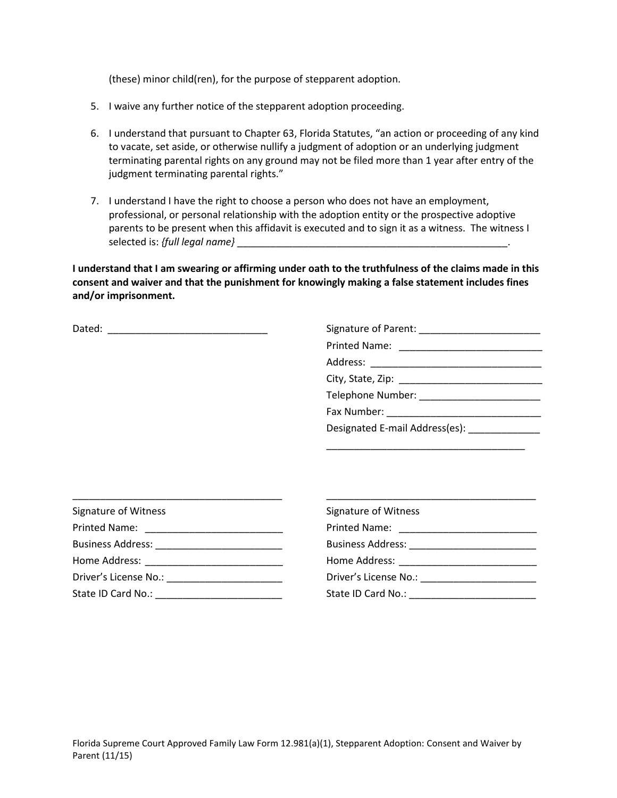(these) minor child(ren), for the purpose of stepparent adoption.

- 5. I waive any further notice of the stepparent adoption proceeding.
- 6. I understand that pursuant to Chapter 63, Florida Statutes, "an action or proceeding of any kind to vacate, set aside, or otherwise nullify a judgment of adoption or an underlying judgment terminating parental rights on any ground may not be filed more than 1 year after entry of the judgment terminating parental rights."
- 7. I understand I have the right to choose a person who does not have an employment, professional, or personal relationship with the adoption entity or the prospective adoptive parents to be present when this affidavit is executed and to sign it as a witness. The witness I selected is: *{full legal name}* \_\_\_\_\_\_\_\_\_\_\_\_\_\_\_\_\_\_\_\_\_\_\_\_\_\_\_\_\_\_\_\_\_\_\_\_\_\_\_\_\_\_\_\_\_\_\_\_\_.

 **I understand that I am swearing or affirming under oath to the truthfulness of the claims made in this consent and waiver and that the punishment for knowingly making a false statement includes fines and/or imprisonment.** 

| Dated: |  |
|--------|--|
|        |  |

\_\_\_\_\_\_\_\_\_\_\_\_\_\_\_\_\_\_\_\_\_\_\_\_\_\_\_\_\_\_\_\_\_\_\_\_

| Signature of Witness    |  |  |
|-------------------------|--|--|
|                         |  |  |
|                         |  |  |
|                         |  |  |
|                         |  |  |
| State ID Card No.: 1999 |  |  |

\_\_\_\_\_\_\_\_\_\_\_\_\_\_\_\_\_\_\_\_\_\_\_\_\_\_\_\_\_\_\_\_\_\_\_\_\_\_

| Signature of Witness                                                                                                                                                                                                           |  |  |
|--------------------------------------------------------------------------------------------------------------------------------------------------------------------------------------------------------------------------------|--|--|
| Printed Name: Name: Name and Name and Name and Name and Name and Name and Name and Name and Name and Name and N                                                                                                                |  |  |
| Business Address: National Property of the Contract of the Contract of the Contract of the Contract of the Contract of the Contract of the Contract of the Contract of the Contract of the Contract of the Contract of the Con |  |  |
| Home Address:                                                                                                                                                                                                                  |  |  |
| Driver's License No.: No.: 2008                                                                                                                                                                                                |  |  |
| State ID Card No.:                                                                                                                                                                                                             |  |  |

\_\_\_\_\_\_\_\_\_\_\_\_\_\_\_\_\_\_\_\_\_\_\_\_\_\_\_\_\_\_\_\_\_\_\_\_\_\_